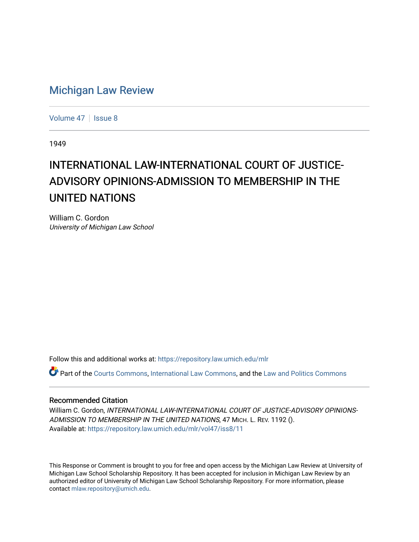# [Michigan Law Review](https://repository.law.umich.edu/mlr)

[Volume 47](https://repository.law.umich.edu/mlr/vol47) | [Issue 8](https://repository.law.umich.edu/mlr/vol47/iss8)

1949

# INTERNATIONAL LAW-INTERNATIONAL COURT OF JUSTICE-ADVISORY OPINIONS-ADMISSION TO MEMBERSHIP IN THE UNITED NATIONS

William C. Gordon University of Michigan Law School

Follow this and additional works at: [https://repository.law.umich.edu/mlr](https://repository.law.umich.edu/mlr?utm_source=repository.law.umich.edu%2Fmlr%2Fvol47%2Fiss8%2F11&utm_medium=PDF&utm_campaign=PDFCoverPages) 

Part of the [Courts Commons,](http://network.bepress.com/hgg/discipline/839?utm_source=repository.law.umich.edu%2Fmlr%2Fvol47%2Fiss8%2F11&utm_medium=PDF&utm_campaign=PDFCoverPages) [International Law Commons](http://network.bepress.com/hgg/discipline/609?utm_source=repository.law.umich.edu%2Fmlr%2Fvol47%2Fiss8%2F11&utm_medium=PDF&utm_campaign=PDFCoverPages), and the [Law and Politics Commons](http://network.bepress.com/hgg/discipline/867?utm_source=repository.law.umich.edu%2Fmlr%2Fvol47%2Fiss8%2F11&utm_medium=PDF&utm_campaign=PDFCoverPages) 

#### Recommended Citation

William C. Gordon, INTERNATIONAL LAW-INTERNATIONAL COURT OF JUSTICE-ADVISORY OPINIONS-ADMISSION TO MEMBERSHIP IN THE UNITED NATIONS, 47 MICH. L. REV. 1192 (). Available at: [https://repository.law.umich.edu/mlr/vol47/iss8/11](https://repository.law.umich.edu/mlr/vol47/iss8/11?utm_source=repository.law.umich.edu%2Fmlr%2Fvol47%2Fiss8%2F11&utm_medium=PDF&utm_campaign=PDFCoverPages) 

This Response or Comment is brought to you for free and open access by the Michigan Law Review at University of Michigan Law School Scholarship Repository. It has been accepted for inclusion in Michigan Law Review by an authorized editor of University of Michigan Law School Scholarship Repository. For more information, please contact [mlaw.repository@umich.edu](mailto:mlaw.repository@umich.edu).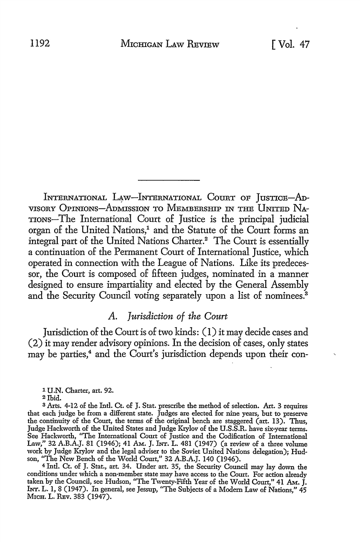INTERNATIONAL LAW-INTERNATIONAL COURT OF JUSTICE-AD-VISORY OPINIONS-ADMISSION TO MEMBERSHIP IN THE UNITED NA-TIONS-The International Court of Justice is the principal judicial organ of the United Nations,<sup>1</sup> and the Statute of the Court forms an integral part of the United Nations Charter.2 The Court is essentially a continuation of the Permanent Court of International Justice, which operated in connection with the League of Nations. Like its predecessor, the Court is composed of fifteen judges, nominated in a manner designed to ensure impartiality and elected by the General Assembly and the Security Council voting separately upon a list of nominees.<sup>3</sup>

#### *A. Jurisdiction of the Court*

Jurisdiction of the Court is of two kinds: (I) it may decide cases and (2) it may render advisory opinions. In the decision of cases, only states may be parties,<sup>4</sup> and the Court's jurisdiction depends upon their con-

<sup>1</sup>**U.N.** Charter, art. 92.

4 Intl. Ct. of J. Stat., art. 34. Under art. 35, the Security Council may lay down the conditions under which a non-member state may have access to the Court. For action already taken by the Council, see Hudson, "The Twenty-Fifth Year of the World Court," 41 AM. J. INT. L. 1, 8 (1947). In general, see Jessup, "The Subjects of a Modern Law of Nations," 45 MICH. L. REV. 383 (1947).

<sup>2</sup> Ibid.

<sup>3</sup>Arts. 4-12 of the Intl. Ct. of J. Stat. prescribe the method of selection. Art. 3 requires that each judge be from a different state. Judges are elected for nine years, but to preserve the continuity of the Court, the terms of the original bench are staggered (art. 13). Thus, Judge Hackworth of the United States and Judge Krylov of the U.S.S.R. have six-year terms. See Hackworth, "The International Court of Justice and the Codification of International Law," 32 A.B.A.J. 81 (1946); 41 AM. J. INT. L. 481 (1947) (a review of a three volume work by Judge Krylov and the legal adviser to the Soviet United Nations delegation); Hudson, "The New Bench of the World Court," 32 A.B.A.J. 140 (1946).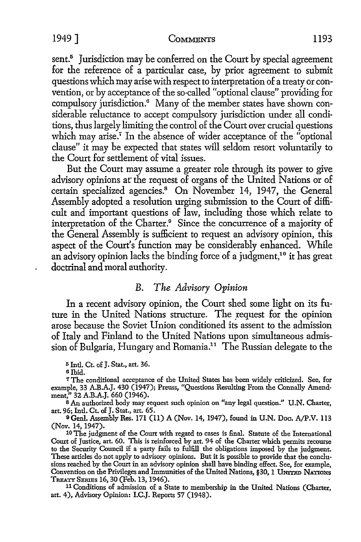sent.<sup>5</sup> Jurisdiction may be conferred on the Court by special agreement for the reference of a particular case, by prior agreement to submit questions which may arise with respect to interpretation of a treaty or convention, or by acceptance of the so-called "optional clause" providing for compulsory jurisdiction.<sup>6</sup> Many of the member states have shown considerable reluctance to accept compulsory jurisdiction under all conditions, thus largely limiting the control of the Court over crucial questions which may arise.<sup>7</sup> In the absence of wider acceptance of the "optional clause" it may be expected that states will seldom resort voluntarily to the Court for settlement of vital issues.

But the Court may assume a greater role through its power to give advisory opinions ar the request of organs of the United Nations or of certain specialized agencies.<sup>8</sup> On November 14, 1947, the General Assembly adopted a resolution urging submission to the Court of difficult and important questions of law, including those which relate to interpretation of the Charter.<sup>9</sup> Since the concurrence of a majority of the General Assembly is sufficient to request an advisory opinion, this aspect of the Court's function may be considerably enhanced. While an advisory opinion lacks the binding force of a judgment,<sup>10</sup> it has great doctrinal and moral authority.

## B. *The Advisory Opinion*

In a recent advisory opinion, the Court shed some light on its future in the United Nations structure. The request for the opinion arose because the Soviet Union conditioned its assent to the admission of Italy and Finland to the United Nations upon simultaneous admission of Bulgaria, Hungary and Romania.<sup>11</sup> The Russian delegate to the

<sup>5</sup>Intl. Ct. of J. Stat., art. 36.

a Ibid.

7 The conditional acceptance of the United States has been widely criticized. See, for example, 33 A.B.A.J. 430 (1947); Preuss, "Questions Resulting From the Connally Amendment," 32 A.B.A.J. 660 (1946).

s An authorized body may request such opinion on "any legal question." U.N. Charter, art. 96; Intl. Ct. of J. Stat., art. 65.

9Genl. Assembly Res. 171 (11) A (Nov. 14, 1947), found in U.N. Doc. A/P.V. 113 (Nov. 14, 1947).

10 The judgment of the Court with regard to cases is final. Statute of the International to the Security Council if a party fails to fulfill the obligations imposed by the judgment. These articles do not apply to advisory opinions. But it is possible to provide that the conclusions reached by the Court in an advisory opinion shall have binding effect. See, for example, Convention on the Privileges and Immunities of the United Nations, §30, 1 UNITED NATIONS TREATY SERIES 16, 30 (Feb. 13, 1946).

<sup>11</sup> Conditions of admission of a State to membership in the United Nations (Charter, art. 4), Advisory Opinion: I.C.J. Reports 57 (1948).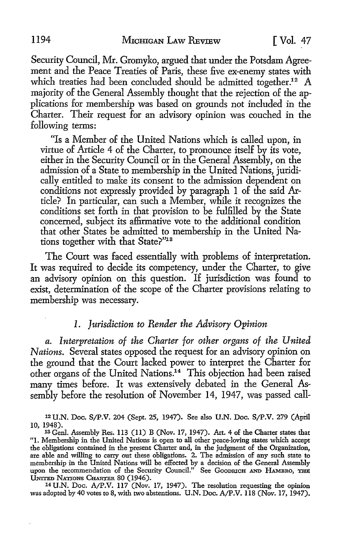Security Council, Mr. Gromyko, argued that under the Potsdam Agreement and the Peace Treaties of Paris, these five ex-enemy states with which treaties had been concluded should be admitted together.<sup>12</sup> A majority of the General Assembly thought that the rejection of the applications for membership was based on grounds not included in the Charter. Their request for an advisory opinion was couched in the following terms:

"Is a Member of the United Nations which is called upon, in virtue of Article 4 of the Charter, to pronounce itself by its vote, either in the Security Council or in the General Assembly, on the admission of a State to membership in the United Nations, juridically entitled to make its consent to the admission dependent on conditions not expressly provided by paragraph l of the said Article? In particular, can such a Member, while it recognizes the conditions set forth in that provision to be fulfilled by the State concerned, subject its affirmative vote to the additional condition that other States be admitted to membership in the United Nations together with that State?"13

The Court was faced essentially with problems of interpretation. *It* was required to decide its competency, under the Charter, to give an advisory opinion on this question. If jurisdiction was found to exist, determination of the scope of the Charter provisions relating to membership was necessary.

### *1. Jurisdiction to Render the Advisory Opinion*

*a. Interpretation of the Charter for other organs of the United Nations.* Several states opposed the request for an advisory opinion on the ground that the Court lacked power to interpret the Charter for other organs of the United Nations.14 This objection had been raised many times before. It was extensively debated in the General Assembly before the resolution of November 14, 1947, was passed call-

<sup>12</sup>U.N. Doc. SJP.V. 204 (Sept. 25, 1947). See also U.N. Doc. S/P.V. 279 (April 10, 1948).

13 Genl. Assembly Res. 113 (11) B (Nov. 17, 1947). Art. 4 of the Charter states that "I. Membership in the United Nations is open to all other peace-loving states which accept the obligations contained in the present Charter and, in the judgment of the Organization, are able and willing to carry out these obligations. 2. The admission of any such state to membership in the United Nations will be effected by a decision of the General Assembly upon the recommendation of the Security Council." See GoodRICH AND HAMBRO, THE UNITED NATIONS CHARTER 80 (1946).

14U.N. Doc. AJP.V. 117 (Nov. 17, 1947). The resolution requesting the opinion was adopted by 40 votes to 8, with two abstentions. U.N. Doc. A/P.V. 118 (Nov. 17, 1947).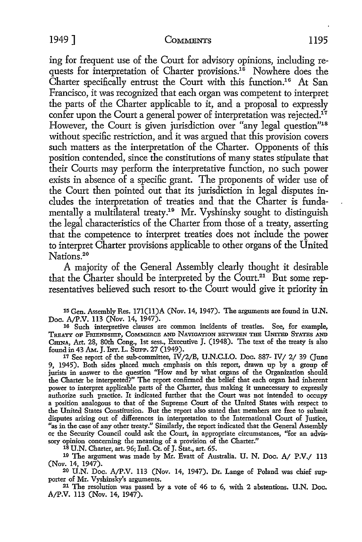#### 1949] COMMENTS 1195

ing for frequent use of the Court for advisory opinions, including requests for interpretation of Charter provisions.<sup>16</sup> Nowhere does the Charter specifically entrust the Court with this function.<sup>16</sup> At San Francisco, it was recognized that each organ was competent to interpret the parts of the Charter applicable to it, and a proposal to expressly confer upon the Court a general power of interpretation was rejected.<sup>17</sup> However, the Court is given jurisdiction over "any legal question"<sup>18</sup> without specific restriction, and it was argued that this provision covers such matters as the interpretation of the Charter. Opponents of this position contended, since the constitutions of many states stipulate that their Courts may perform the interpretative function, no such power exists in absence of a specific grant. The proponents of wider use of the Court then pointed out that its jurisdiction in legal disputes includes the interpretation of treaties and that the Charter is fundamentally a multilateral treaty.<sup>19</sup> Mr. Vyshinsky sought to distinguish the legal characteristics of the Charter from those of a treaty, asserting that the competence to interpret treaties does not include the power to interpret Charter provisions applicable to other organs of the United Nations.<sup>20</sup>

A majority of the General Assembly clearly thought it desirable that the Charter should be interpreted by the Court.<sup>21</sup> But some representatives believed such resort to, the Court would give it priority in

15 Gen. Assembly Res. 171(11)A (Nov. 14, 1947). The arguments are found in **U.N.** 

16 Such interpretive clauses are common incidents of treaties. See, for example, TREATY OF FRIENDSHIP, COMMERCE AND NAVIGATION BETWEEN THE UNITED STATES AND CHINA, Art. 28, 80th Cong., 1st sess., Executive J. (1948). The text of the treaty is also found in 43 AM. J. INT. L. SUPP. 27 (1949).

17 See report of the sub-committee, lV/2/B, U.N.C.I.O. Doc. 887- IV/ 2/ 39 (June 9, 1945). Both sides placed much emphasis on this report, drawn up by a group of jurists in answer to the question "How and by what organs of the Organization should the Charter be interpreted?" The report confirmed the belief that each organ had inherent power to interpret applicable parts of the Charter, thus making it unnecessary to expressly authorize such practice. It indicated further that the Court was not intended to occupy a position analogous to that of the Supreme Court of the United States with respect to the United States Constitution. But the report also stated that members are free to submit disputes arising out of differences in interpretation to the International Court of Justice, "as in the case of any other treaty." Similarly, the report indicated that the General Assembly or the Security Council could ask the Court, in appropriate circumstances, "for an advissory opinion concerning the meaning of a provision of the Charter."

1s U.N. Charter, art. 96; Intl. Ct. of J. Stat., art. 65.

19 The argument was made by Mr. Evatt of Australia. U. N. Doc. A/ P.V./ 113 (Nov. 14, 1947).

20 U.N. Doc. A/P.V. 113 (Nov. 14, 1947). Dr. Lange of Poland was chief supporter of Mr. Vyshinsky's arguments.<br><sup>21</sup> The resolution was passed by a vote of 46 to 6, with 2 abstentions. U.N. Doc.

A/P.V. 113 (Nov. 14, 1947).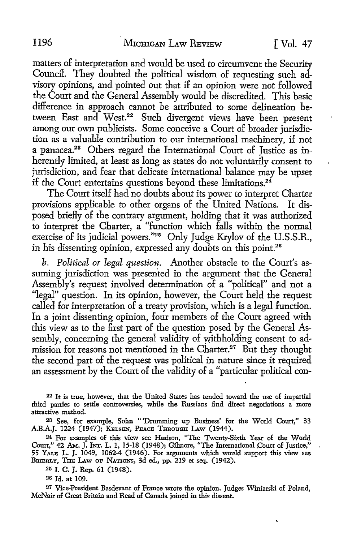matters of interpretation and would be used to circumvent the Security Council. They doubted the political wisdom of requesting such advisory opinions, and pointed out that if an opinion were not followed the Court and the General Assembly would be discredited. This basic difference in approach cannot be attributed to some delineation between East and West.<sup>22</sup> Such divergent views have been present among our own publicists. Some conceive a Court of broader jurisdiction as a valuable contribution to our international machinery, if not a panacea.23 Others regard the International Court of Justice as inherently limited, at least as long as states do not voluntarily consent to jurisdiction, and fear that delicate international balance may be upset if the Court entertains questions beyond these limitations.<sup>24</sup>

The Court itself had no doubts about its power to interpret Charter provisions applicable to other organs of the United Nations. It disposed briefly of the contrary argument, holding that it was authorized to interpret the Charter, a "function which falls within the normal exercise of its judicial powers."25 Only Judge Krylov of the U.S.S.R., in his dissenting opinion, expressed any doubts on this point.<sup>26</sup>

*b. Political or legal question.* Another obstacle to the Court's assuming jurisdiction was presented in the argument that the General Assembly's request involved determination of a "political" and not a "legal" question. In its opinion, however, the Court held the request called for interpretation of a treaty provision, which is a legal function. In a joint dissenting opinion, four members of the Court agreed with this view as to the first part of the question posed by the General Assembly, concerning the general validity of withholding consent to admission for reasons not mentioned in the Charter.<sup>27</sup> But they thought the second part of the request was political in nature since it required an assessment by the Court of the validity of a "particular political con-

<sup>22</sup>It is true, however, that the United States has tended toward the use of impartial third parties to settle controversies, while the Russians find direct negotiations a more attractive method.

<sup>23</sup>See, for example, Sohn "'Drumming up Business' for the World Court," 33 A.B.A.J. 1224 (1947); KELSEN, PEACE THROUGH LAW (1944).

24 For examples of this view see Hudson, "The Twenty-Sixth Year of the World Court,'' 42 AM.. J. IN.r. L. 1, 15-18 (1948); Gilmore, "The International Court of Justice,'' 55 YALE L. J. 1049, 1062-4 (1946). For arguments which would support this view see BRIERLY, THE LAw OF NATIONS, 3d ed., pp. 219 et seq. (1942).

25 I. C. J. Rep. 61 (1948).

20 Id. at 109.

*21* Vice-President Basdevant of France wrote the opinion. Judges Winiarski of Poland, McNair of Great Britain and Read of Canada join\_ed in this dissent.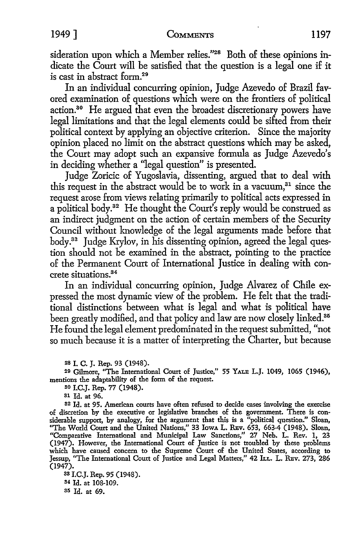sideration upon which a Member relies."<sup>28</sup> Both of these opinions indicate the Court will be satisfied that the question is a legal one if it is cast in abstract form.29

In an individual concurring opinion, Judge Azevedo of Brazil favored examination of questions which were on the frontiers of political action.<sup>30</sup> He argued that even the broadest discretionary powers have legal limitations and that the legal elements could be sifted from their political context by applying an objective criterion. Since the majority opinion placed no limit on the abstract questions which may be asked, the Court may adopt such an expansive formula as Judge Azevedo's in deciding whether a ''legal question" is presented.

Judge Zoricic of Yugoslavia, dissenting, argued that to deal with this request in the abstract would be to work in a vacuum,<sup>31</sup> since the request arose from views relating primarily to political acts expressed in a political body.32 He thought the Court's reply would be construed as an indirect judgment on the action of certain members of the Security Council without knowledge of the legal arguments made before that body.33 Judge Krylov, in his dissenting opinion, agreed the legal question should not be examined in the abstract, pointing to the practice of the Permanent Court of International Justice in dealing with concrete situations.34

In an individual concurring opinion, Judge Alvarez of Chile expressed the most dynamic view of the problem. He felt that the traditional distinctions between what is legal and what is political have been greatly modified, and that policy and law are now closely linked.<sup>35</sup> He found the legal element predominated in the request submitted, "not so much because it is a matter of interpreting the Charter, but because

29 Gilmore, "The International Court of Justice," 55 YALE L.J. 1049, 1065 (1946), mentions the adaptability of the form of the request.

so 1.C.J. Rep. 77 (1948).

81 Id. at 96.

82 Id. at 95. American courts have often refused to decide cases involving the exercise of discretion by the executive or legislative branches of the government. There is considerable support, by analogy, for the argument that this is a "political question." Sloan, "The World Court and the United Nations," 33 IowA L. RBv. 653, 663-4 (1948). Sloan, "Comparative International and Municipal Law Sanctions," 27 Neb. L. Rev. 1, 23 (1947). However, the International Court of Justice is not troubled by these problems which have caused concern to the Supreme Court of the United States, according to Jessup, "The International Court of Justice and Legal Matters," 42 ILL. L. REV. 273, 286 (1947).

88 I.C.J. Rep. 95 (1948). 84 Id. at 108-109. s5 Id. at 69.

<sup>2</sup>s I. C. J. Rep. 93 (1948).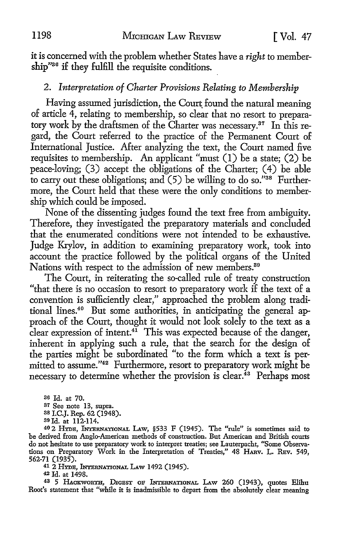it is concerned with the problem whether States have a *right* to membership"36 if they **fulfill** the requisite conditions.

### 2. *Interpretation of Charter Provisions Relating to Membership*

Having assumed jurisdiction, the Court found the natural meaning of article 4, relating to membership, so clear that no resort to preparatory work by the draftsmen of the Charter was necessary.<sup>37</sup> In this regard, the Court referred to the practice of the Permanent Court of International Justice. After analyzing the text, the Court named five requisites to membership. An applicant "must (I) be a state; (2) be peace-loving; (3) accept the obligations of the Charter; (4) be able to carry out these obligations; and  $(5)$  be willing to do so."<sup>38</sup> Furthermore, the Court held that these were the only conditions to membership which could be imposed.

None of the dissenting judges found the text free from ambiguity. Therefore, they investigated the preparatory materials and concluded that the enumerated conditions were not intended to be exhaustive. Judge Krylov, in addition to examining preparatory work, took into account the practice followed by the political organs of the United Nations with respect to the admission of new members.<sup>39</sup>

The Court, in reiterating the so-called rule of treaty construction "that there is no occasion to resort to preparatory work if the text of a convention is sufficiently clear," approached the problem along traditional lines.<sup>40</sup> But some authorities, in anticipating the general approach of the Court, thought it would not look solely to the text as a clear expression of intent.<sup>41</sup> This was expected because of the danger, inherent in applying such a rule, that the search for the design of the parties might be subordinated "to the form which a text is permitted to assume."<sup>42</sup> Furthermore, resort to preparatory work might be necessary to determine whether the provision is clear.<sup>43</sup> Perhaps most

36 Id. at 70. 37 See note 13, supra.

3s I.C.J. Rep. 62 (1948). 39 Id. at 112-114.

40 2 HYDE, !m:ERNATIONAL LAw, §533 F (1945). The "rule" is sometimes said to be derived from Anglo-American methods of construction. But American and British courts do not hesitate to use preparatory work to interpret treaties; see Lauterpacht, "Some Observations on Preparatory Work in the Interpretation of Treaties," 48 HARv. L. REv. 549, 562-71 (1935).

41 2 HYDE, INTERNATIONAL LAW 1492 (1945).

<sup>42</sup>Id. at 1498.

43 5 HACKWORTH, DIGEST OF INTERNATIONAL LAW 260 (1943), quotes Elihu Root's statement that "while it is inadmissible to depart from the absolutely clear meaning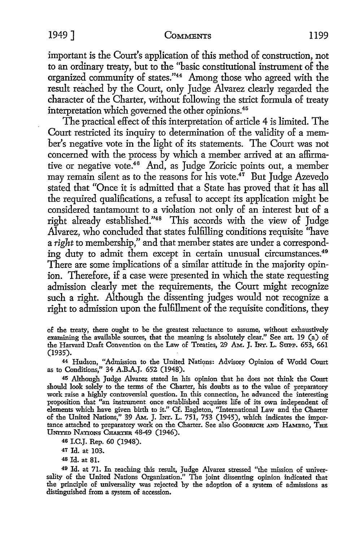#### 1949] COMMENTS 1199

important is the Court's application of this method of construction, not to an ordinary treaty, but to the ''basic constitutional instrument of the organized community of states."<sup>44</sup>Among those who agreed with the result reached by the Court, only Judge Alvarez clearly regarded the character of the Charter, without following the strict formula of treaty interpretation which governed the other opinions.<sup>45</sup>

The practical effect of this interpretation of article 4 is limited. The Court restricted its inquiry to determination of the validity of a member's negative vote in the light of its statements. The Court was not concerned with the process by which a member arrived at an affirmative or negative vote.<sup>46</sup> And, as Judge Zoricic points out, a member may remain silent as to the reasons for his vote.<sup>47</sup> But Judge Azevedo stated that "Once it is admitted that a State has proved that it has all the required qualifications, a refusal to accept its application might be considered tantamount to a violation not only of an interest but of a right already established."48 This accords with the view of Judge Alvarez, who concluded that states fulfilling conditions requisite "have a *right* to membership," and that member states are under a corresponding duty to admit them except in certain unusual circumstances.<sup>49</sup> There are some implications of a similar attitude in the majority opinion. Therefore, if a case were presented in which the state requesting admission clearly met the requirements, the Court might recognize such a right. Although the dissenting judges would not recognize a right to admission upon the fulfillment of the requisite conditions, they

of the treaty, there ought to be the greatest reluctance to assume, without exhaustively examining the available sources, that the meaning is absolutely clear." See art. 19 (a) of the Harvard Draft Convention on the Law of Treaties, 29 AM. J. INT. L. Supp. 653, 661 (1935).

44 Hudson, "Admission to the United Nations: Advisory Opinion of World Court as to Conditions," 34 A.B.A.J. 652 (1948). '

<sup>45</sup>Although Judge Alvarez stated in his opinion that he does not think the Court should look solely to the terms of the Charter, his doubts as to the value of preparatory work raise a highly controversial question. In this connection, he advanced the interesting proposition that "an instrument once established acquires life of its own independent of elements which have given birth to it." Cf. Eagleton, ''International Law and the Charter of the United Nations,'' 39 AM. J. lNr. L. 751, 753 (1945), which indicates the importance attached to preparatory work on the Charter. See also Goodnich AND HAMBRO, THE UNITED NATIONS CHARTER 48-49 (1946).

46 I.C.J. Rep. 60 (1948).

47 Id. at 103.

48 Id. at 81.

49 Id. at 71. In reaching this result, Judge Alvarez stressed "the mission of universality of the United Nations Organization." The joint dissenting opinion indicated that the principle of universality was rejected by the adoption of a system of admissions as distinguished from a system of accession.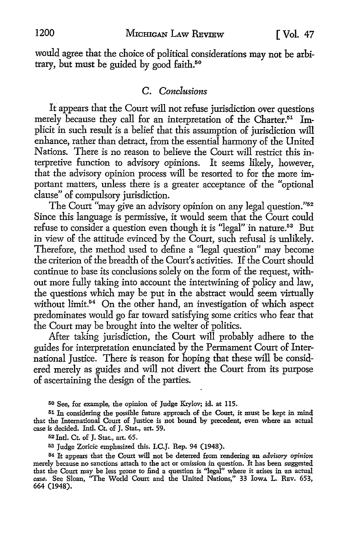would agree that the choice of political considerations may not be arbitrary, but must be guided by good faith.<sup>50</sup>

#### C. *Conclusions*

It appears that the Court will not refuse jurisdiction over questions merely because they call for an interpretation of the Charter.<sup>51</sup> Implicit in such result is a belief that this assumption of jurisdiction will enhance, rather than detract, from the essential harmony of the United Nations. There is no reason to believe the Court will restrict this interpretive function to advisory opinions. It seems likely, however, that the advisory opinion process will be resorted to for the more important matters, unless there is a greater acceptance of the "optional clause" of compulsory jurisdiction.

The Court "may give an advisory opinion on any legal question."<sup>52</sup> Since this language is permissive, it would seem that the Court could refuse to consider a question even though it is "legal" in nature.<sup>53</sup> But in view of the attitude evinced by the Court, such refusal is unlikely. Therefore, the method used to define a "legal question" may become the criterion of the breadth of the Court's activities. If the Court should continue to base its conclusions solely on the form of the request, without more fully taking into account the intertwining of policy and law, the questions which may be put in the abstract would seem virtually without limit.<sup>54</sup> On the other hand, an investigation of which aspect predominates would go far toward satisfying some critics who fear that the Court may be brought into the welter of politics.

After taking jurisdiction, the Court will probably adhere to the guides for interpretation enunciated by the Permament Court of International Justice. There is reason for hoping that these will be considered merely as guides and will not divert the Court from its purpose of ascertaining the design of the parties.

50 See, for example, the opinion of Judge K:rylov; id. at 115.

51 In considering the possible future approach of the Court, it must be kept in mind that the International Court of Justice is not bound by precedent, even where an actual case is decided. Intl. Ct. of J. Stat., art. 59.

52 Intl. Ct. of J. Stat., art. 65.

53 Judge Zoricic emphasized this. I.C.J. Rep. 94 (1948).

<sup>54</sup>It appears that the Court will not be deterred from rendering an *advisory* opinion merely because no sanctions attach to the act or omission in question. It has been suggested that the Court may be less prone to find a question is "legal" where it arises in an actual *case.* See Sloan, "The World Court and the United Nations," 33 lowA L. RBv. 653, 664 (1948).